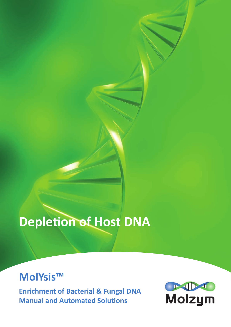# **Depletion of Host DNA**

# **MolYsis™**

**Enrichment of Bacterial & Fungal DNA Manual and Automated Solutions**

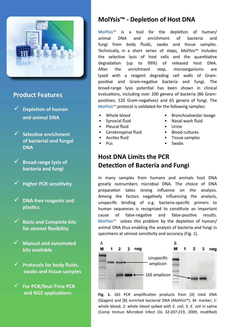

#### **Product Features**

- **Depletion of human and animal DNA**
- **Selective enrichment of bacterial and fungal DNA**
- **Broad-range lysis of bacteria and fungi**
- **Higher PCR sensitivity**
- **DNA-free reagents and plastics**
- **Basic and Complete kits for utmost flexibility**
- $\checkmark$  Manual and automated **kits available**
- **Protocols for body fluids, swabs and tissue samples**
- **For PCR/Real-Time PCR and NGS applications**

### **MolYsis™ - Depletion of Host DNA**

**MolYsis™** is a tool for the depletion of human/ animal DNA and enrichment of bacteria and fungi from body fluids, swabs and tissue samples. Technically, in a short series of steps, MolYsis™ includes the selective lysis of host cells and the quantitative degradation (up to 99%) of released host DNA. After the enrichment step, microorganisms are lysed with a reagent degrading cell walls of Grampositive and Gram-negative bacteria and fungi. The broad-range lysis potential has been shown in clinical evaluations, including over 200 genera of bacteria (86 Grampositives, 120 Gram-negatives) and 65 genera of fungi. The **MolYsis™** protocol is validated for the following samples:

- Whole blood
- Synovial fluid
- Pleural fluid
- Cerebrospinal fluid
- Ascites fluid
- Pus
- Bronchoalveolar lavage
- Nasal-wash fluid
- Urine
- Blood cultures
- Tissue samples
- Swabs

# **Host DNA Limits the PCR Detection of Bacteria and Fungi**

In many samples from humans and animals host DNA greatly outnumbers microbial DNA. The choice of DNA preparation takes strong influence on the analysis. Among the factors negatively influencing the analysis, unspecific binding of e.g. bacteria-specific primers to human sequences is recognized to constitute an important cause of false-negative and false-positive results. **MolYsis™** solves this problem by the depletion of human/ animal DNA thus enabling the analysis of bacteria and fungi in specimens at utmost sensitivity and accuracy (Fig. 1).



**Fig. 1.** 16S PCR amplification products from [A] total DNA (Qiagen) and [B] enriched bacterial DNA (MolYsis™). M: marker; 1: whole blood; 2: whole blood spiked with *E. coli*; 3: *E. coli* in saline (Comp Immun Microbiol Infect Dis 32:207-219, 2009; modified)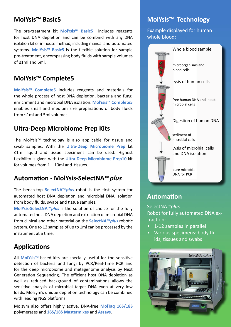#### **MolYsis™ Basic5**

The pre-treatment kit **MolYsis™ Basic5** includes reagents for host DNA depletion and can be combind with any DNA isolation kit or in-house method, including manual and automated systems. **MolYsis™ Basic5** is the flexible solution for sample pre-treatment, encompassing body fluids with sample volumes of ≤1ml and 5ml.

#### **MolYsis™ Complete5**

**MolYsis™ Complete5** includes reagents and materials for the whole process of host DNA depletion, bacteria and fungi enrichment and microbial DNA isolation. **MolYsis™ Complete5** enables small and medium size preparations of body fluids from ≤1ml and 5ml volumes.

#### **Ultra-Deep Microbiome Prep Kits**

The MolYsis™ technology is also applicable for tissue and swab samples. With the **Ultra-Deep Microbiome Prep** kit ≤1ml liquid and tissue specimens can be used. Highest flexibility is given with the **Ultra-Deep Microbiome Prep10** kit for volumes from  $1 - 10$ ml and tissues.

#### **Automation - MolYsis-SelectNA™plus**

The bench-top **SelectNA™plus** robot is the first system for automated host DNA depletion and microbial DNA isolation from body fluids, swabs and tissue samples.

**MolYsis-SelectNA™plus** is the solution of choice for the fully automated host DNA depletion and extraction of microbial DNA from clinical and other material on the **SelectNA™plus** robotic system. One to 12 samples of up to 1ml can be processed by the instrument at a time.

#### **Applications**

All **MolYsis™**-based kits are specially useful for the sensitive detection of bacteria and fungi by PCR/Real-Time PCR and for the deep microbiome and metagenome analysis by Next Generation Sequencing. The efficient host DNA depletion as well as reduced background of contaminations allows the sensitive analysis of microbial target DNA even at very low loads. Molzym's unique depletion technology can be combined with leading NGS platforms.

Molzym also offers highly active, DNA-free **MolTaq 16S/18S**  polymerases and **16S/18S Mastermixes** and **Assays**.

### **MolYsis™ Technology**

Example displayed for human whole blood:



#### **Automation**

SelectNA™*plus* Robot for fully automated DNA extraction:

- 1-12 samples in parallel
- Various specimens: body fluids, tissues and swabs